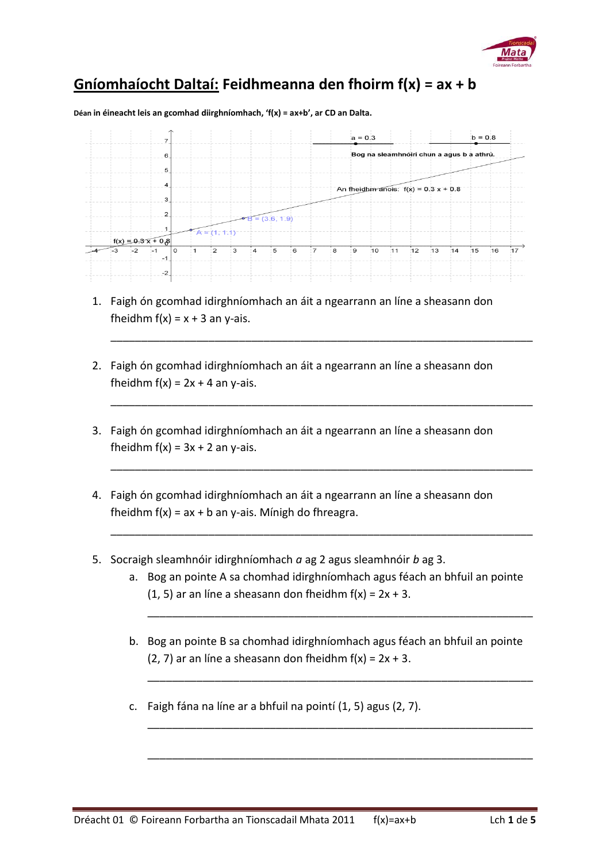

## **Gníomhaíocht Daltaí: Feidhmeanna den fhoirm f(x) = ax + b**

**Déan in éineacht leis an gcomhad diirghníomhach, 'f(x) = ax+b', ar CD an Dalta.**



1. Faigh ón gcomhad idirghníomhach an áit a ngearrann an líne a sheasann don fheidhm  $f(x) = x + 3$  an y-ais.

\_\_\_\_\_\_\_\_\_\_\_\_\_\_\_\_\_\_\_\_\_\_\_\_\_\_\_\_\_\_\_\_\_\_\_\_\_\_\_\_\_\_\_\_\_\_\_\_\_\_\_\_\_\_\_\_\_\_\_\_\_\_\_\_\_\_\_\_\_

\_\_\_\_\_\_\_\_\_\_\_\_\_\_\_\_\_\_\_\_\_\_\_\_\_\_\_\_\_\_\_\_\_\_\_\_\_\_\_\_\_\_\_\_\_\_\_\_\_\_\_\_\_\_\_\_\_\_\_\_\_\_\_\_\_\_\_\_\_

\_\_\_\_\_\_\_\_\_\_\_\_\_\_\_\_\_\_\_\_\_\_\_\_\_\_\_\_\_\_\_\_\_\_\_\_\_\_\_\_\_\_\_\_\_\_\_\_\_\_\_\_\_\_\_\_\_\_\_\_\_\_\_\_\_\_\_\_\_

\_\_\_\_\_\_\_\_\_\_\_\_\_\_\_\_\_\_\_\_\_\_\_\_\_\_\_\_\_\_\_\_\_\_\_\_\_\_\_\_\_\_\_\_\_\_\_\_\_\_\_\_\_\_\_\_\_\_\_\_\_\_\_\_\_\_\_\_\_

- 2. Faigh ón gcomhad idirghníomhach an áit a ngearrann an líne a sheasann don fheidhm  $f(x) = 2x + 4$  an y-ais.
- 3. Faigh ón gcomhad idirghníomhach an áit a ngearrann an líne a sheasann don fheidhm  $f(x) = 3x + 2$  an y-ais.
- 4. Faigh ón gcomhad idirghníomhach an áit a ngearrann an líne a sheasann don fheidhm  $f(x) = ax + b$  an y-ais. Mínigh do fhreagra.
- 5. Socraigh sleamhnóir idirghníomhach *a* ag 2 agus sleamhnóir *b* ag 3.
	- a. Bog an pointe A sa chomhad idirghníomhach agus féach an bhfuil an pointe (1, 5) ar an líne a sheasann don fheidhm  $f(x) = 2x + 3$ .

\_\_\_\_\_\_\_\_\_\_\_\_\_\_\_\_\_\_\_\_\_\_\_\_\_\_\_\_\_\_\_\_\_\_\_\_\_\_\_\_\_\_\_\_\_\_\_\_\_\_\_\_\_\_\_\_\_\_\_\_\_\_\_

\_\_\_\_\_\_\_\_\_\_\_\_\_\_\_\_\_\_\_\_\_\_\_\_\_\_\_\_\_\_\_\_\_\_\_\_\_\_\_\_\_\_\_\_\_\_\_\_\_\_\_\_\_\_\_\_\_\_\_\_\_\_\_

\_\_\_\_\_\_\_\_\_\_\_\_\_\_\_\_\_\_\_\_\_\_\_\_\_\_\_\_\_\_\_\_\_\_\_\_\_\_\_\_\_\_\_\_\_\_\_\_\_\_\_\_\_\_\_\_\_\_\_\_\_\_\_

\_\_\_\_\_\_\_\_\_\_\_\_\_\_\_\_\_\_\_\_\_\_\_\_\_\_\_\_\_\_\_\_\_\_\_\_\_\_\_\_\_\_\_\_\_\_\_\_\_\_\_\_\_\_\_\_\_\_\_\_\_\_\_

- b. Bog an pointe B sa chomhad idirghníomhach agus féach an bhfuil an pointe (2, 7) ar an líne a sheasann don fheidhm  $f(x) = 2x + 3$ .
- c. Faigh fána na líne ar a bhfuil na pointí (1, 5) agus (2, 7).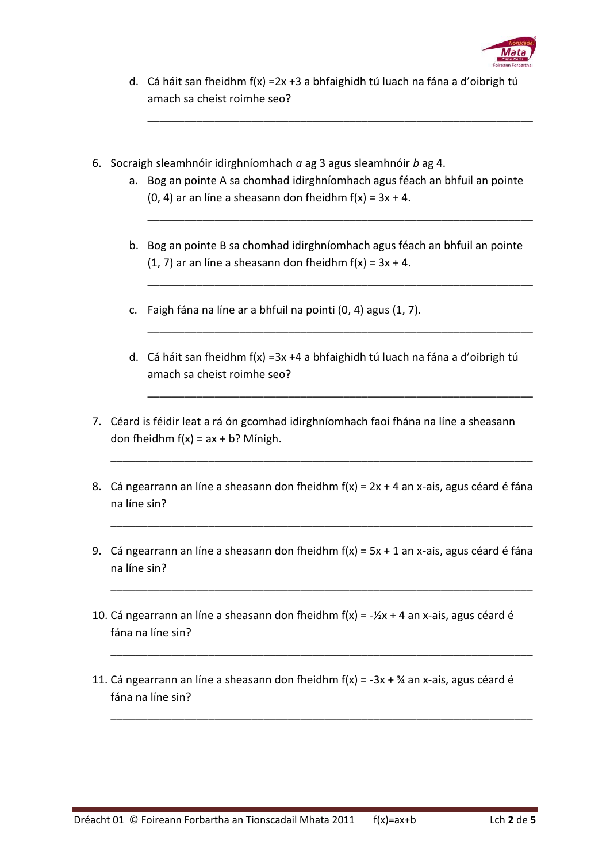

d. Cá háit san fheidhm f(x) =2x +3 a bhfaighidh tú luach na fána a d'oibrigh tú amach sa cheist roimhe seo?

\_\_\_\_\_\_\_\_\_\_\_\_\_\_\_\_\_\_\_\_\_\_\_\_\_\_\_\_\_\_\_\_\_\_\_\_\_\_\_\_\_\_\_\_\_\_\_\_\_\_\_\_\_\_\_\_\_\_\_\_\_\_\_

- 6. Socraigh sleamhnóir idirghníomhach *a* ag 3 agus sleamhnóir *b* ag 4.
	- a. Bog an pointe A sa chomhad idirghníomhach agus féach an bhfuil an pointe (0, 4) ar an líne a sheasann don fheidhm  $f(x) = 3x + 4$ .

\_\_\_\_\_\_\_\_\_\_\_\_\_\_\_\_\_\_\_\_\_\_\_\_\_\_\_\_\_\_\_\_\_\_\_\_\_\_\_\_\_\_\_\_\_\_\_\_\_\_\_\_\_\_\_\_\_\_\_\_\_\_\_

\_\_\_\_\_\_\_\_\_\_\_\_\_\_\_\_\_\_\_\_\_\_\_\_\_\_\_\_\_\_\_\_\_\_\_\_\_\_\_\_\_\_\_\_\_\_\_\_\_\_\_\_\_\_\_\_\_\_\_\_\_\_\_

\_\_\_\_\_\_\_\_\_\_\_\_\_\_\_\_\_\_\_\_\_\_\_\_\_\_\_\_\_\_\_\_\_\_\_\_\_\_\_\_\_\_\_\_\_\_\_\_\_\_\_\_\_\_\_\_\_\_\_\_\_\_\_

\_\_\_\_\_\_\_\_\_\_\_\_\_\_\_\_\_\_\_\_\_\_\_\_\_\_\_\_\_\_\_\_\_\_\_\_\_\_\_\_\_\_\_\_\_\_\_\_\_\_\_\_\_\_\_\_\_\_\_\_\_\_\_

- b. Bog an pointe B sa chomhad idirghníomhach agus féach an bhfuil an pointe (1, 7) ar an líne a sheasann don fheidhm  $f(x) = 3x + 4$ .
- c. Faigh fána na líne ar a bhfuil na pointi (0, 4) agus (1, 7).
- d. Cá háit san fheidhm f(x) =3x +4 a bhfaighidh tú luach na fána a d'oibrigh tú amach sa cheist roimhe seo?
- 7. Céard is féidir leat a rá ón gcomhad idirghníomhach faoi fhána na líne a sheasann don fheidhm  $f(x) = ax + b$ ? Mínigh.
- 8. Cá ngearrann an líne a sheasann don fheidhm  $f(x) = 2x + 4$  an x-ais, agus céard é fána na líne sin?

\_\_\_\_\_\_\_\_\_\_\_\_\_\_\_\_\_\_\_\_\_\_\_\_\_\_\_\_\_\_\_\_\_\_\_\_\_\_\_\_\_\_\_\_\_\_\_\_\_\_\_\_\_\_\_\_\_\_\_\_\_\_\_\_\_\_\_\_\_

\_\_\_\_\_\_\_\_\_\_\_\_\_\_\_\_\_\_\_\_\_\_\_\_\_\_\_\_\_\_\_\_\_\_\_\_\_\_\_\_\_\_\_\_\_\_\_\_\_\_\_\_\_\_\_\_\_\_\_\_\_\_\_\_\_\_\_\_\_

\_\_\_\_\_\_\_\_\_\_\_\_\_\_\_\_\_\_\_\_\_\_\_\_\_\_\_\_\_\_\_\_\_\_\_\_\_\_\_\_\_\_\_\_\_\_\_\_\_\_\_\_\_\_\_\_\_\_\_\_\_\_\_\_\_\_\_\_\_

\_\_\_\_\_\_\_\_\_\_\_\_\_\_\_\_\_\_\_\_\_\_\_\_\_\_\_\_\_\_\_\_\_\_\_\_\_\_\_\_\_\_\_\_\_\_\_\_\_\_\_\_\_\_\_\_\_\_\_\_\_\_\_\_\_\_\_\_\_

\_\_\_\_\_\_\_\_\_\_\_\_\_\_\_\_\_\_\_\_\_\_\_\_\_\_\_\_\_\_\_\_\_\_\_\_\_\_\_\_\_\_\_\_\_\_\_\_\_\_\_\_\_\_\_\_\_\_\_\_\_\_\_\_\_\_\_\_\_

- 9. Cá ngearrann an líne a sheasann don fheidhm  $f(x) = 5x + 1$  an x-ais, agus céard é fána na líne sin?
- 10. Cá ngearrann an líne a sheasann don fheidhm  $f(x) = -\frac{1}{2}x + 4$  an x-ais, agus céard é fána na líne sin?
- 11. Cá ngearrann an líne a sheasann don fheidhm  $f(x) = -3x + \frac{3}{4}x$  an x-ais, agus céard é fána na líne sin?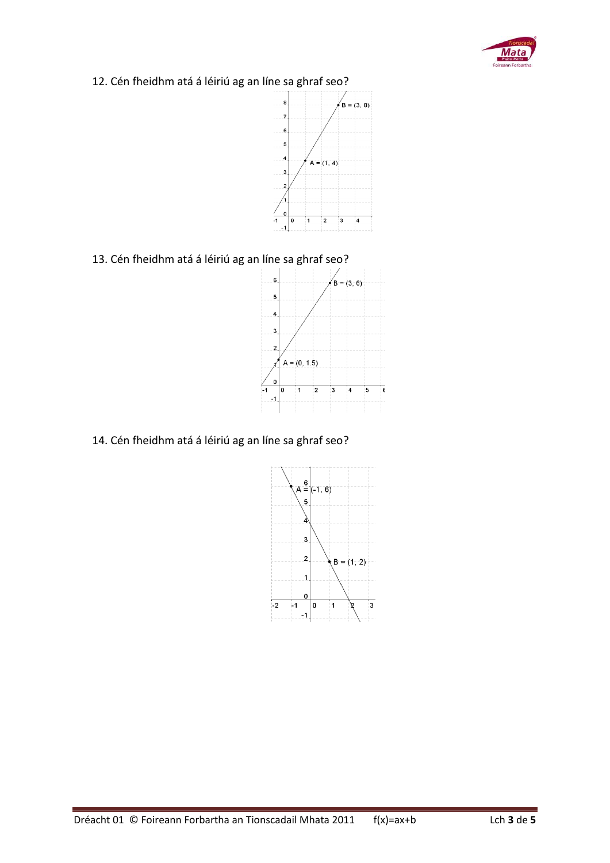

12. Cén fheidhm atá á léiriú ag an líne sa ghraf seo?



13. Cén fheidhm atá á léiriú ag an líne sa ghraf seo?



14. Cén fheidhm atá á léiriú ag an líne sa ghraf seo?

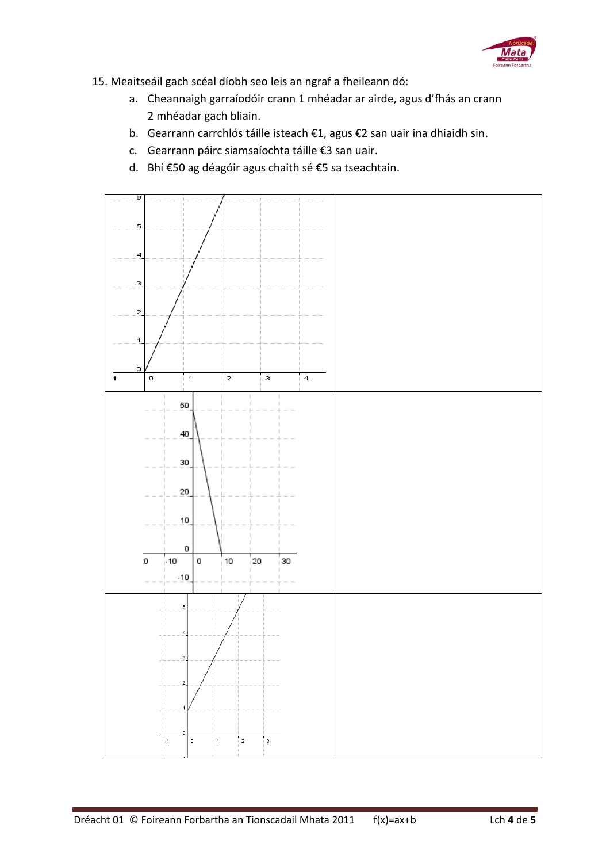

- 15. Meaitseáil gach scéal díobh seo leis an ngraf a fheileann dó:
	- a. Cheannaigh garraíodóir crann 1 mhéadar ar airde, agus d'fhás an crann 2 mhéadar gach bliain.
	- b. Gearrann carrchlós táille isteach €1, agus €2 san uair ina dhiaidh sin.
	- c. Gearrann páirc siamsaíochta táille €3 san uair.
	- d. Bhí €50 ag déagóir agus chaith sé €5 sa tseachtain.